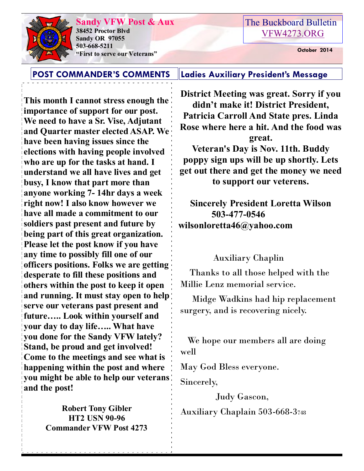## **Sandy VFW Post & Aux**

**38452 Proctor Blvd Sandy OR 97055 503-668-5211 "First to serve our Veterans" October 2014** 

#### The Buckboard Bulletin [VFW4273.ORG](http://vfw4273.org/)

**POST COMMANDER'S COMMENTS Ladies Auxiliary President's Message**

**This month I cannot stress enough the importance of support for our post. We need to have a Sr. Vise, Adjutant and Quarter master elected ASAP. We have been having issues since the elections with having people involved who are up for the tasks at hand. I understand we all have lives and get busy, I know that part more than anyone working 7- 14hr days a week right now! I also know however we have all made a commitment to our soldiers past present and future by being part of this great organization. Please let the post know if you have any time to possibly fill one of our officers positions. Folks we are getting desperate to fill these positions and others within the post to keep it open and running. It must stay open to help serve our veterans past present and future….. Look within yourself and your day to day life….. What have you done for the Sandy VFW lately? Stand, be proud and get involved! Come to the meetings and see what is happening within the post and where you might be able to help our veterans and the post!**

> **Robert Tony Gibler HT2 USN 90-96 Commander VFW Post 4273**

**District Meeting was great. Sorry if you didn't make it! District President, Patricia Carroll And State pres. Linda Rose where here a hit. And the food was great. Veteran's Day is Nov. 11th. Buddy poppy sign ups will be up shortly. Lets get out there and get the money we need** 

**to support our veterens.** 

**Sincerely President Loretta Wilson 503-477-0546 wilsonloretta46@yahoo.com**

Auxiliary Chaplin

 Thanks to all those helped with the Millie Lenz memorial service.

 Midge Wadkins had hip replacement surgery, and is recovering nicely.

 We hope our members all are doing well

May God Bless everyone.

Sincerely,

 Judy Gascon, Auxiliary Chaplain 503-668-3<sup>748</sup>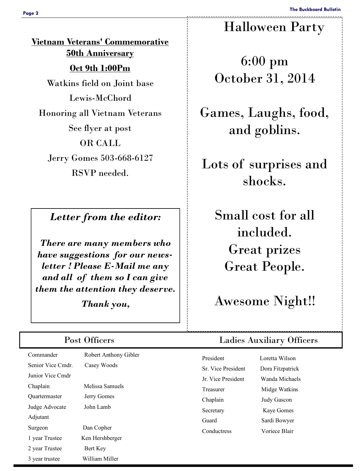**Vietnam Veterans' Commemorative 50th Anniversary Oct 9th 1:00Pm** Watkins field on Joint base Lewis-McChord Honoring all Vietnam Veterans See flyer at post OR CALL Jerry Gomes 503-668-6127 RSVP needed.

### *Letter from the editor:*

*There are many members who have suggestions for our newsletter ! Please E-Mail me any and all of them so I can give them the attention they deserve.* 

*Thank you,* 

Commander Robert Anthony Gibler Senior Vice Cmdr. Casey Woods Junior Vice Cmdr Chaplain Melissa Samuels Quartermaster Jerry Gomes Judge Advocate John Lamb Adjutant Surgeon Dan Copher 1 year Trustee Ken Hershberger 2 year Trustee Bert Key 3 year trustee William Miller

# Halloween Party

6:00 pm October 31, 2014

Games, Laughs, food, and goblins.

Lots of surprises and shocks.

> Small cost for all included. Great prizes Great People.

Awesome Night!!

## Post Officers Ladies Auxiliary Officers

| President                | Loretta Wilson     |  |
|--------------------------|--------------------|--|
| <b>Sr</b> Vice President | Dora Fitzpatrick   |  |
| Ir Vice President        | Wanda Michaels     |  |
| Treasurer                | Midge Watkins      |  |
| Chaplain                 | <b>Judy Gascon</b> |  |
| Secretary                | Kaye Gomes         |  |
| Guard                    | Sardi Bowver       |  |
| Conductress              | Voriece Blair      |  |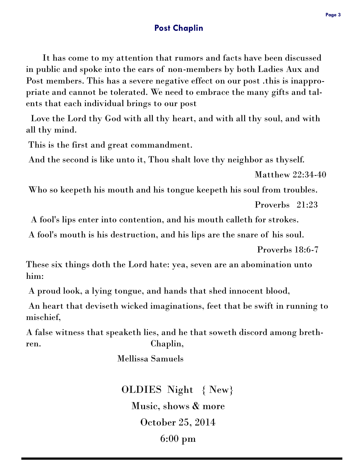#### **Post Chaplin**

 It has come to my attention that rumors and facts have been discussed in public and spoke into the ears of non-members by both Ladies Aux and Post members. This has a severe negative effect on our post .this is inappropriate and cannot be tolerated. We need to embrace the many gifts and talents that each individual brings to our post

 Love the Lord thy God with all thy heart, and with all thy soul, and with all thy mind.

This is the first and great commandment.

And the second is like unto it, Thou shalt love thy neighbor as thyself.

Matthew 22:34-40

Who so keepeth his mouth and his tongue keepeth his soul from troubles.

Proverbs 21:23

A fool's lips enter into contention, and his mouth calleth for strokes.

A fool's mouth is his destruction, and his lips are the snare of his soul.

Proverbs 18:6-7

These six things doth the Lord hate: yea, seven are an abomination unto him:

A proud look, a lying tongue, and hands that shed innocent blood,

An heart that deviseth wicked imaginations, feet that be swift in running to mischief,

A false witness that speaketh lies, and he that soweth discord among brethren. Chaplin,

Mellissa Samuels

OLDIES Night { New} Music, shows & more October 25, 2014 6:00 pm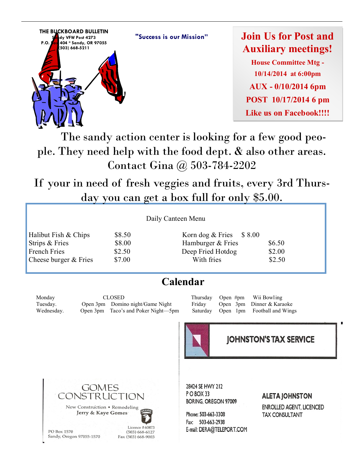**"Success is our Mission"**



**Join Us for Post and Auxiliary meetings!**

**House Committee Mtg - 10/14/2014 at 6:00pm AUX - 0/10/2014 6pm POST 10/17/2014 6 pm Like us on Facebook!!!!**

 The sandy action center is looking for a few good people. They need help with the food dept. & also other areas. Contact Gina @ 503-784-2202

If your in need of fresh veggies and fruits, every 3rd Thursday you can get a box full for only \$5.00.

| Halibut Fish & Chips  | \$8 |
|-----------------------|-----|
| Strips & Fries        | \$8 |
| <b>French Fries</b>   | \$2 |
| Cheese burger & Fries | \$7 |

#### Daily Canteen Menu

 $8.50$  Korn dog  $&$  Fries  $$8.00$  $8.00$  Hamburger & Fries  $$6.50$ Fried Hotdog \$2.00 Cheese burger & Fries  $$7.00$  With fries  $$2.50$ 

# **Calendar**

Monday CLOSED Thursday Open #pm Wii Bowling Tuesday. Open 3pm Domino night/Game Night Friday Open 3pm Dinner & Karaoke Wednesday. Open 3pm Taco's and Poker Night—5pm Saturday Open 1pm Football and Wings



#### **JOHNSTON'S TAX SERVICE**



Jerry & Kaye Gomes



 $(503) 668 - 6127$ 

Fax (503) 668-9003

PO Box 1570 Sandy, Oregon 97055-1570 28424 SE HWY 212 POBOX 33 **BORING, OREGON 97009** 

Phone: 503-663-3308 Fax: 503-663-2938 E-mail: DERA@TELEPORT.COM

#### **ALETA JOHNSTON**

**ENROLLED AGENT, LICENCED TAX CONSULTANT**